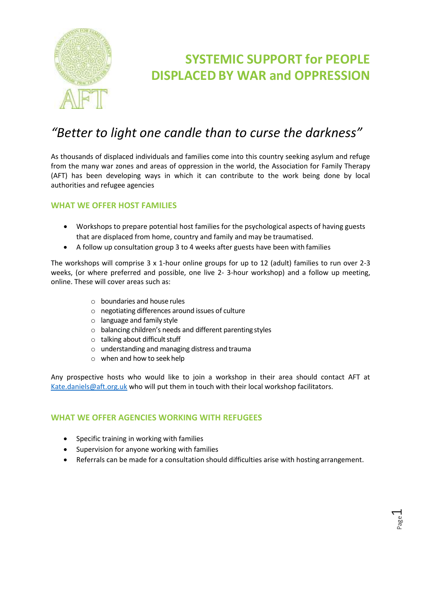

# **SYSTEMIC SUPPORT for PEOPLE DISPLACED BY WAR and OPPRESSION**

## *"Better to light one candle than to curse the darkness"*

As thousands of displaced individuals and families come into this country seeking asylum and refuge from the many war zones and areas of oppression in the world, the Association for Family Therapy (AFT) has been developing ways in which it can contribute to the work being done by local authorities and refugee agencies

### **WHAT WE OFFER HOST FAMILIES**

- Workshops to prepare potential host families for the psychological aspects of having guests that are displaced from home, country and family and may be traumatised.
- A follow up consultation group 3 to 4 weeks after guests have been with families

The workshops will comprise 3 x 1-hour online groups for up to 12 (adult) families to run over 2-3 weeks, (or where preferred and possible, one live 2- 3-hour workshop) and a follow up meeting, online. These will cover areas such as:

- o boundaries and house rules
- o negotiating differences around issues of culture
- o language and family style
- o balancing children's needs and different parenting styles
- $\circ$  talking about difficult stuff
- $\circ$  understanding and managing distress and trauma
- o when and how to seek help

Any prospective hosts who would like to join a workshop in their area should contact AFT at [Kate.daniels@aft.org.uk](mailto:Kate.daniels@aft.org.uk) who will put them in touch with their local workshop facilitators.

#### **WHAT WE OFFER AGENCIES WORKING WITH REFUGEES**

- Specific training in working with families
- Supervision for anyone working with families
- Referrals can be made for a consultation should difficulties arise with hosting arrangement.